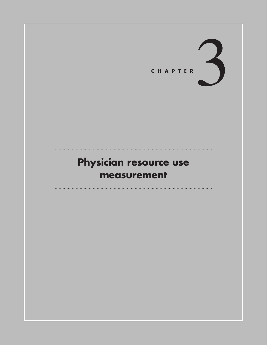

# Physician resource use measurement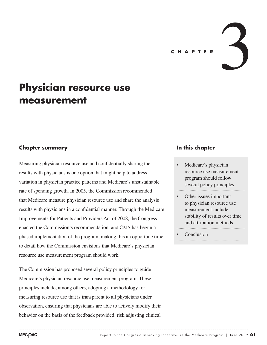CHAPTER

# **Physician resource use measurement**

### **Chapter summary**

Measuring physician resource use and confidentially sharing the results with physicians is one option that might help to address variation in physician practice patterns and Medicare's unsustainable rate of spending growth. In 2005, the Commission recommended that Medicare measure physician resource use and share the analysis results with physicians in a confidential manner. Through the Medicare Improvements for Patients and Providers Act of 2008, the Congress enacted the Commission's recommendation, and CMS has begun a phased implementation of the program, making this an opportune time to detail how the Commission envisions that Medicare's physician resource use measurement program should work.

The Commission has proposed several policy principles to guide Medicare's physician resource use measurement program. These principles include, among others, adopting a methodology for measuring resource use that is transparent to all physicians under observation, ensuring that physicians are able to actively modify their behavior on the basis of the feedback provided, risk adjusting clinical

#### **In this chapter**

- Medicare's physician resource use measurement program should follow several policy principles
- Other issues important to physician resource use measurement include stability of results over time and attribution methods

**Conclusion**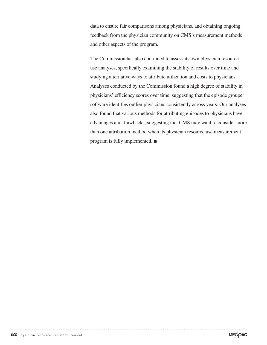data to ensure fair comparisons among physicians, and obtaining ongoing feedback from the physician community on CMS's measurement methods and other aspects of the program.

The Commission has also continued to assess its own physician resource use analyses, specifically examining the stability of results over time and studying alternative ways to attribute utilization and costs to physicians. Analyses conducted by the Commission found a high degree of stability in physicians' efficiency scores over time, suggesting that the episode grouper software identifies outlier physicians consistently across years. Our analyses also found that various methods for attributing episodes to physicians have advantages and drawbacks, suggesting that CMS may want to consider more than one attribution method when its physician resource use measurement program is fully implemented. ■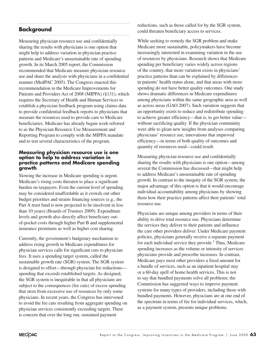## **Background**

Measuring physician resource use and confidentially sharing the results with physicians is one option that might help to address variation in physician practice patterns and Medicare's unsustainable rate of spending growth. In its March 2005 report, the Commission recommended that Medicare measure physician resource use and share the analysis with physicians in a confidential manner (MedPAC 2005). The Congress enacted this recommendation in the Medicare Improvements for Patients and Providers Act of 2008 (MIPPA) (§131), which requires the Secretary of Health and Human Services to establish a physician feedback program using claims data to provide confidential feedback reports to physicians that measure the resources used to provide care to Medicare beneficiaries. Medicare has already begun work referred to as the Physician Resource Use Measurement and Reporting Program to comply with the MIPPA mandate and to test several characteristics of the program.

#### **Measuring physician resource use is one option to help to address variation in practice patterns and Medicare spending growth**

Slowing the increase in Medicare spending is urgent. Medicare's rising costs threaten to place a significant burden on taxpayers. Even the current level of spending may be considered unaffordable as it crowds out other budget priorities and strains financing sources (e.g., the Part A trust fund is now projected to be insolvent in less than 10 years) (Boards of Trustees 2009). Expenditure levels and growth also directly affect beneficiary outof-pocket costs through higher Part B and supplemental insurance premiums as well as higher cost sharing.

Currently, the government's budgetary mechanism to address rising growth in Medicare expenditures for physician services calls for significant cuts to physician fees. It uses a spending target system, called the sustainable growth rate (SGR) system. The SGR system is designed to offset—through physician fee reductions spending that exceeds established targets. As designed, the SGR system is inequitable in that all physicians are subject to the consequences (fee cuts) of excess spending that stem from excessive use of resources by only some physicians. In recent years, the Congress has intervened to avoid the fee cuts resulting from aggregate spending on physician services consistently exceeding targets. There is concern that over the long run, sustained payment

reductions, such as those called for by the SGR system, could threaten beneficiary access to services.

While seeking to remedy the SGR problem and make Medicare more sustainable, policymakers have become increasingly interested in examining variation in the use of resources by physicians. Research shows that Medicare spending per beneficiary varies widely across regions of the country, that more variation exists in physicians' practice patterns than can be explained by differences in patients' health status alone, and that areas with more spending do not have better quality outcomes. One study shows dramatic differences in Medicare expenditures among physicians within the same geographic area as well as across areas (GAO 2007). Such variation suggests that an opportunity exists to reduce and redistribute spending to achieve greater efficiency—that is, to get better value without sacrificing quality. If the physician community were able to glean new insights from analyses comparing physicians' resource use, innovations that improved efficiency—in terms of both quality of outcomes and quantity of resources used—could result.

Measuring physician resource use and confidentially sharing the results with physicians is one option—among several the Commission has discussed—that might help to address Medicare's unsustainable rate of spending growth. In contrast to the inequity of the SGR system, the major advantage of this option is that it would encourage individual accountability among physicians by showing them how their practice patterns affect their patients' total resource use.

Physicians are unique among providers in terms of their ability to drive total resource use. Physicians determine the services they deliver to their patients and influence the care other providers deliver. Under Medicare payment policies, physicians generally receive a separate payment for each individual service they provide.<sup>1</sup> Thus, Medicare spending increases as the volume or intensity of services physicians provide and prescribe increases. In contrast, Medicare pays most other providers a fixed amount for a bundle of services, such as an inpatient hospital stay or a 60-day spell of home health services. This is not to say that bundled payments solve all problems; the Commission has suggested ways to improve payment systems for many types of providers, including those with bundled payments. However, physicians are at one end of the spectrum in terms of fee for individual services, which, as a payment system, presents unique problems.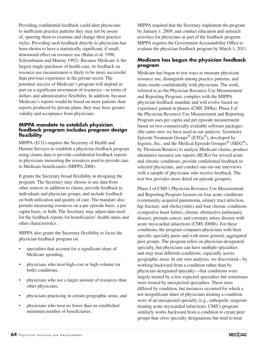Providing confidential feedback could alert physicians to inefficient practice patterns they may not be aware of, spurring them to examine and change their practice styles. Providing such feedback directly to physicians has been shown to have a statistically significant, if small, downward effect on resource use (Balas et al. 1996, Schoenbaum and Murray 1992). Because Medicare is the largest single purchaser of health care, its feedback on resource use measurement is likely to be more successful than previous experience in the private sector. The potential success of Medicare's program will depend in part on a significant investment of resources—in terms of dollars and administrative flexibility. In addition, because Medicare's reports would be based on more patients than reports produced by private plans, they may have greater validity and acceptance from physicians.

#### **MIPPA mandate to establish physician feedback program includes program design flexibility**

MIPPA (§131) requires the Secretary of Health and Human Services to establish a physician feedback program using claims data to provide confidential feedback reports to physicians measuring the resources used to provide care to Medicare beneficiaries (MIPPA 2008).

It grants the Secretary broad flexibility in designing the program. The Secretary may choose to use data from other sources in addition to claims, provide feedback to individuals and physician groups, and include feedback on both utilization and quality of care. The mandate also permits measuring resources on a per episode basis, a per capita basis, or both. The Secretary may adjust data used for the feedback reports for beneficiaries' health status and other characteristics.

MIPPA also grants the Secretary flexibility to focus the physician feedback program on:

- specialties that account for a significant share of Medicare spending,
- physicians who treat high-cost or high-volume (or both) conditions,
- physicians who use a larger amount of resources than other physicians,
- physicians practicing in certain geographic areas, and
- physicians who treat no fewer than an established minimum number of beneficiaries.

MIPPA required that the Secretary implement the program by January 1, 2009, and conduct education and outreach activities for physicians as part of the feedback program. MIPPA requires the Government Accountability Office to evaluate the physician feedback program by March 1, 2011.

#### **Medicare has begun the physician feedback program**

Medicare has begun to test ways to measure physician resource use, distinguish among practice patterns, and share results confidentially with physicians. The work, referred to as the Physician Resource Use Measurement and Reporting Program, complies with the MIPPA physician feedback mandate and will evolve based on experience gained in phases (CMS 2008a). Phase I of the Physician Resource Use Measurement and Reporting Program uses per capita and per episode measurement based on two commercially available software packages (the same ones we have used in our analysis: Symmetry Episode Treatment Groups® (ETGs®), developed by Ingenix, Inc., and the Medical Episode Grouper<sup>®</sup> (MEG<sup>®</sup>), by Thomson Reuters) to analyze Medicare claims, produce alternative resource use reports (RURs) for several acute and chronic conditions, provide confidential feedback to selected physicians, and conduct one-on-one interviews with a sample of physicians who receive feedback. The text box provides more detail on episode groupers.

Phase I of CMS's Physician Resource Use Measurement and Reporting Program focuses on four acute conditions (community-acquired pneumonia, urinary tract infection, hip fracture, and cholecystitis) and four chronic conditions (congestive heart failure, chronic obstructive pulmonary disease, prostate cancer, and coronary artery disease with acute myocardial infarction) (CMS 2008b). For these conditions, the program compares physicians with their specific specialty peers and with more general, aggregated peer groups. The program relies on physician-designated specialty, but physicians can have multiple specialties and may treat different conditions, especially across geographic areas. In our own analyses, we discovered—by working backward from a condition rather than by physician-designated specialty—that conditions were largely treated by a few expected specialties but sometimes were treated by unexpected specialties. These rates differed by condition, but instances occurred for which a not insignificant share of physicians treating a condition were of an unexpected specialty (e.g., orthopedic surgeons treating acute myocardial infarction). CMS's program similarly works backward from a condition to create peer groups that cross specialty designations but tend to treat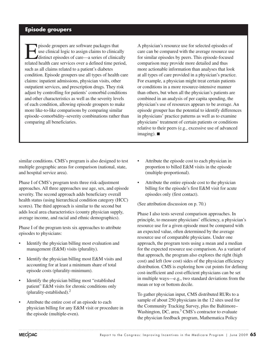## **Episode groupers**

pisode groupers are software packages that<br>use clinical logic to assign claims to clinical<br>distinct episodes of care—a series of clinical<br>related health eggs carriese over a defined time per use clinical logic to assign claims to clinically distinct episodes of care—a series of clinically related health care services over a defined time period, such as all claims related to a patient's diabetes condition. Episode groupers use all types of health care claims: inpatient admissions, physician visits, other outpatient services, and prescription drugs. They risk adjust by controlling for patients' comorbid conditions and other characteristics as well as the severity levels of each condition, allowing episode groupers to make more like-to-like comparisons by comparing similar episode–comorbidity–severity combinations rather than comparing all beneficiaries.

A physician's resource use for selected episodes of care can be compared with the average resource use for similar episodes by peers. This episode-focused comparison may provide more detailed and thus more actionable information than analyses that look at all types of care provided in a physician's practice. For example, a physician might treat certain patients or conditions in a more resource-intensive manner than others, but when all the physician's patients are combined in an analysis of per capita spending, the physician's use of resources appears to be average. An episode grouper has the potential to identify differences in physicians' practice patterns as well as to examine physicians' treatment of certain patients or conditions relative to their peers (e.g., excessive use of advanced imaging). ■

similar conditions. CMS's program is also designed to test multiple geographic areas for comparison (national, state, and hospital service area).

Phase I of CMS's program tests three risk-adjustment approaches. All three approaches use age, sex, and episode severity. The second approach adds beneficiary overall health status (using hierarchical condition category (HCC) scores). The third approach is similar to the second but adds local area characteristics (county physician supply, average income, and racial and ethnic demographics).

Phase I of the program tests six approaches to attribute episodes to physicians:

- Identify the physician billing most evaluation and management (E&M) visits (plurality).
- Identify the physician billing most E&M visits and accounting for at least a minimum share of total episode costs (plurality-minimum).
- Identify the physician billing most "established patient" E&M visits for chronic conditions only (plurality-established).2
- • Attribute the entire cost of an episode to each physician billing for any E&M visit or procedure in the episode (multiple-even).
- Attribute the episode cost to each physician in proportion to billed E&M visits in the episode (multiple-proportional).
- Attribute the entire episode cost to the physician billing for the episode's first E&M visit for acute episodes only (first contact).

(See attribution discussion on p. 70.)

Phase I also tests several comparison approaches. In principle, to measure physicians' efficiency, a physician's resource use for a given episode must be compared with an expected value, often determined by the average resource use of comparable physicians. Under one approach, the program tests using a mean and a median for the expected resource use comparison. As a variant of that approach, the program also explores the right (high cost) and left (low cost) sides of the physician efficiency distribution. CMS is exploring how cut points for defining cost-inefficient and cost-efficient physicians can be set in multiple ways—e.g., two standard deviations from the mean or top or bottom decile.

To gather physician input, CMS distributed RURs to a sample of about 250 physicians in the 12 sites used for the Community Tracking Survey, plus the Baltimore– Washington, DC, area.<sup>3</sup> CMS's contractor to evaluate the physician feedback program, Mathematica Policy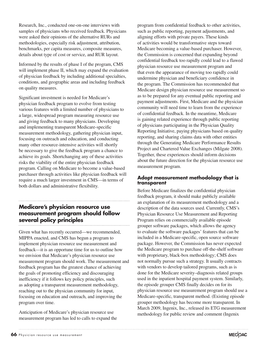Research, Inc., conducted one-on-one interviews with samples of physicians who received feedback. Physicians were asked their opinions of the alternative RURs and methodologies, especially risk adjustment, attribution, benchmarks, per capita measures, composite measures, details about type of cost or service, and RUR layout.

Informed by the results of phase I of the program, CMS will implement phase II, which may expand the evaluation of physician feedback by including additional specialties, conditions, and geographic areas and including feedback on quality measures.

Significant investment is needed for Medicare's physician feedback program to evolve from testing various features with a limited number of physicians to a large, widespread program measuring resource use and giving feedback to many physicians. Developing and implementing transparent Medicare-specific measurement methodology, gathering physician input, focusing on outreach and education, and conducting many other resource-intensive activities will shortly be necessary to give the feedback program a chance to achieve its goals. Shortchanging any of these activities risks the viability of the entire physician feedback program. Calling on Medicare to become a value-based purchaser through activities like physician feedback will require a much larger investment in CMS—in terms of both dollars and administrative flexibility.

## **Medicare's physician resource use measurement program should follow several policy principles**

Given what has recently occurred—we recommended, MIPPA enacted, and CMS has begun a program to implement physician resource use measurement and feedback—it is an opportune time for us to outline how we envision that Medicare's physician resource use measurement program should work. The measurement and feedback program has the greatest chance of achieving the goals of promoting efficiency and discouraging inefficiency if it follows key policy principles, such as adopting a transparent measurement methodology, reaching out to the physician community for input, focusing on education and outreach, and improving the program over time.

Anticipation of Medicare's physician resource use measurement program has led to calls to expand the

program from confidential feedback to other activities, such as public reporting, payment adjustments, and aligning efforts with private payers. These kinds of activities would be transformative steps toward Medicare becoming a value-based purchaser. However, the Commission is concerned that expanding beyond confidential feedback too rapidly could lead to a flawed physician resource use measurement program and that even the appearance of moving too rapidly could undermine physician and beneficiary confidence in the program. The Commission has recommended that Medicare design physician resource use measurement so as to be prepared for any eventual public reporting and payment adjustments. First, Medicare and the physician community will need time to learn from the experience of confidential feedback. In the meantime, Medicare is gaining related experience through public reporting of physicians participating in the Physician Quality Reporting Initiative, paying physicians based on quality reporting, and sharing claims data with other entities through the Generating Medicare Performance Results Project and Chartered Value Exchanges (Milgate 2008). Together, these experiences should inform decisions about the future direction for the physician resource use measurement program.

#### **Adopt measurement methodology that is transparent**

Before Medicare finalizes the confidential physician feedback program, it should make publicly available an explanation of its measurement methodology and a description of the data sources used. Currently, CMS's Physician Resource Use Measurement and Reporting Program relies on commercially available episode grouper software packages, which allows the agency to evaluate the software packages' features that can be included in a Medicare-specific, open source software package. However, the Commission has never expected the Medicare program to purchase off-the-shelf software with proprietary, black-box methodology; CMS does not normally pursue such a strategy. It usually contracts with vendors to develop tailored programs, such as is done for the Medicare severity–diagnosis related groups used in the inpatient hospital payment system. Similarly, the episode grouper CMS finally decides on for its physician resource use measurement program should use a Medicare-specific, transparent method. (Existing episode grouper methodology has become more transparent. In March 2009, Ingenix, Inc., released its ETG measurement methodology for public review and comment (Ingenix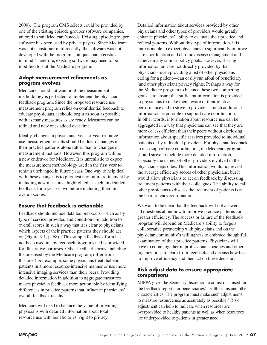2009).) The program CMS selects could be provided by one of the existing episode grouper software companies, tailored to suit Medicare's needs. Existing episode grouper software has been used by private payers. Since Medicare was not a customer until recently, the software was not developed with the program's unique characteristics in mind. Therefore, existing software may need to be modified to suit the Medicare program.

#### **Adopt measurement refinements as program evolves**

Medicare should not wait until the measurement methodology is perfected to implement the physician feedback program. Since the proposed resource use measurement program relies on confidential feedback to educate physicians, it should begin as soon as possible with as many measures as are ready. Measures can be refined and new ones added over time.

Ideally, changes in physicians' year-to-year resource use measurement results should be due to changes in their practice patterns alone rather than to changes in measurement methods. However, this program will be a new endeavor for Medicare. It is unrealistic to expect the measurement methodology used in the first year to remain unchanged in future years. One way to help deal with these changes is to pilot test any future refinement by including new measures, highlighted as such, in detailed feedback for a year or two before including them in overall scores.

### **Ensure that feedback is actionable**

Feedback should include detailed breakouts—such as by type of service, provider, and condition—in addition to overall scores in such a way that it is clear to physicians which aspects of their practice patterns they should act on (Figure 3-1, p. 68). (This sample feedback form has not been used in any feedback programs and is provided for illustrative purposes. Other feedback forms, including the one used by the Medicare program, differ from this one.) For example, some physicians treat diabetic patients in a more resource-intensive manner or use more intensive imaging services than their peers. Providing detailed information in addition to aggregate measures makes physician feedback more actionable by identifying differences in practice patterns that influence physicians' overall feedback results.

Medicare will need to balance the value of providing physicians with detailed information about total resource use with beneficiaries' right to privacy.

Detailed information about services provided by other physicians and other types of providers would greatly enhance physicians' ability to evaluate their practice and referral patterns. Without this type of information, it is unreasonable to expect physicians to significantly improve care coordination and chronic disease management and achieve many similar policy goals. However, sharing information on care not directly provided by that physician—even providing a list of other physicians caring for a patient—can easily run afoul of beneficiary (and other physician) privacy rights. Perhaps a way for the Medicare program to balance these two competing goals is to ensure that sufficient information is provided to physicians to make them aware of their relative performance and to strive to provide as much additional information as possible to support care coordination. In other words, information about resource use can be aggregated in a way that physicians can see that they are more or less efficient than their peers without disclosing information about specific services provided to individual patients or by individual providers. For physician feedback to also support care coordination, the Medicare program should strive to include more detailed information, especially the names of other providers involved in the physician's episodes. This information would not reveal the average efficiency scores of other physicians, but it would allow physicians to act on feedback by discussing treatment patterns with their colleagues. The ability to call other physicians to discuss the treatment of patients is at the heart of care coordination.

We want to be clear that the feedback will not answer all questions about how to improve practice patterns for greater efficiency. The success or failure of the feedback program will depend on Medicare's ability to forge a collaborative partnership with physicians and on the physician community's willingness to embrace thoughtful examination of their practice patterns. Physicians will have to come together in professional societies and other organizations to learn from feedback and discuss how best to improve efficiency and then act on these decisions.

#### **Risk adjust data to ensure appropriate comparisons**

MIPPA gives the Secretary discretion to adjust data used for the feedback reports for beneficiaries' health status and other characteristics. The program must make such adjustments to measure resource use as accurately as possible.<sup>4</sup> Risk adjustment can help to indicate when resources are overprovided to healthy patients as well as when resources are underprovided to patients in greater need.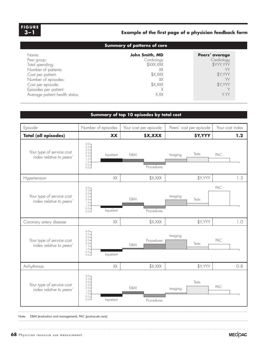#### **Example of first page of a physician feedback form FIGURE 3-1 F i gure 3–1**

#### **Example of the first page of a physician feedback form**

| <b>Summary of patterns of care</b> |                              |                              |  |
|------------------------------------|------------------------------|------------------------------|--|
| Name:<br>Peer group:               | John Smith, MD<br>Cardiology | Peers' average<br>Cardiology |  |
| Total spending:                    | \$XXX, XXX                   | \$YYY, YYY                   |  |
| Number of patients:                | XХ                           | VΥ                           |  |
| Cost per patient:                  | \$X, XXX                     | \$Y, YYY                     |  |
| Number of episodes:                | XХ                           |                              |  |
| Cost per episode:                  | \$X, XXX                     | \$Y, YYY                     |  |
| Episodes per patient:              |                              |                              |  |
| Average patient health status:     | X.XX                         | Y.YY                         |  |

#### **Summary of top 10 episodes by total cost**



Note: E&M (evaluation and management), PAC (post-acute care).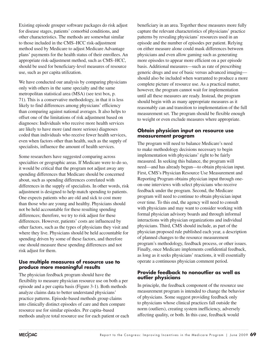Existing episode grouper software packages do risk adjust for disease stages, patients' comorbid conditions, and other characteristics. The methods are somewhat similar to those included in the CMS–HCC risk-adjustment method used by Medicare to adjust Medicare Advantage plans' payments for the health status of their enrollees. An appropriate risk-adjustment method, such as CMS–HCC, should be used for beneficiary-level measures of resource use, such as per capita utilization.

We have conducted our analysis by comparing physicians only with others in the same specialty and the same metropolitan statistical area (MSA) (see text box, p. 71). This is a conservative methodology, in that it is less likely to find differences among physicians' efficiency than comparing against national averages. It also helps to offset one of the limitations of risk adjustment based on diagnoses: Individuals who receive more health services are likely to have more (and more serious) diagnoses coded than individuals who receive fewer health services, even when factors other than health, such as the supply of specialists, influence the amount of health services.

Some researchers have suggested comparing across specialties or geographic areas. If Medicare were to do so, it would be critical that the program not adjust away any spending differences that Medicare should be concerned about, such as spending differences correlated with differences in the supply of specialists. In other words, risk adjustment is designed to help match spending to patients. One expects patients who are old and sick to cost more than those who are young and healthy. Physicians should not be held accountable for these resulting spending differences; therefore, we try to risk adjust for these differences. However, patients' costs are influenced by other factors, such as the types of physicians they visit and where they live. Physicians should be held accountable for spending driven by some of these factors, and therefore one should measure these spending differences and not risk adjust for them.

#### **Use multiple measures of resource use to produce more meaningful results**

The physician feedback program should have the flexibility to measure physician resource use on both a per episode and a per capita basis (Figure 3-1). Both methods analyze claims data to better understand physicians' practice patterns. Episode-based methods group claims into clinically distinct episodes of care and then compare resource use for similar episodes. Per capita–based methods analyze total resource use for each patient or each

beneficiary in an area. Together these measures more fully capture the relevant characteristics of physicians' practice patterns by revealing physicians' resources used in an episode and the number of episodes per patient. Relying on either measure alone could mask differences between physicians and even allow gaming such as generating more episodes to appear more efficient on a per episode basis. Additional measures—such as rate of prescribing generic drugs and use of basic versus advanced imaging should also be included when warranted to produce a more complete picture of resource use. As a practical matter, however, the program cannot wait for implementation until all these measures are ready. Instead, the program should begin with as many appropriate measures as it reasonably can and transition to implementation of the full measurement set. The program should be flexible enough to weight or even exclude measures where appropriate.

#### **Obtain physician input on resource use measurement program**

The program will need to balance Medicare's need to make methodology decisions necessary to begin implementation with physicians' right to be fairly measured. In seeking this balance, the program will need—and has already begun—to obtain physician input. First, CMS's Physician Resource Use Measurement and Reporting Program obtains physician input through oneon-one interviews with select physicians who receive feedback under the program. Second, the Medicare program will need to continue to obtain physician input over time. To this end, the agency will need to consult with physicians and may want to consider working with formal physician advisory boards and through informal interactions with physician organizations and individual physicians. Third, CMS should include, as part of the physician proposed rule published each year, a description of planned changes to the resource measurement program's methodology, feedback process, or other issues. Finally, once Medicare implements confidential feedback, as long as it seeks physicians' reactions, it will essentially operate a continuous physician comment period.

#### **Provide feedback to nonoutlier as well as outlier physicians**

In principle, the feedback component of the resource use measurement program is intended to change the behavior of physicians. Some suggest providing feedback only to physicians whose clinical practices fall outside the norm (outliers), creating system inefficiency, adversely affecting quality, or both. In this case, feedback would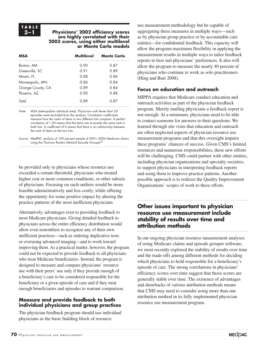## **TA B L E**

#### **3–1 Physicians' 2002 efficiency scores are highly correlated with their 2003 scores, using either multilevel or Monte Carlo models**

| <b>MSA</b>        | <b>Multilevel</b> | <b>Monte Carlo</b> |
|-------------------|-------------------|--------------------|
| Boston, MA        | 0.90              | 0.87               |
| Greenville, SC    | 0.91              | 0.89               |
| Miami, FL         | 0.88              | 0.86               |
| Minneapolis, MN   | 0.86              | 0.84               |
| Orange County, CA | 0.89              | 0.84               |
| Phoenix, AZ       | 0.90              | 0.88               |
| Total             | 0.89              | 0.87               |

Note: MSA (metropolitan statistical area). Physicians with fewer than 20 episodes were excluded from the analysis. Correlation coefficients measure how the ranks of items in two different lists compare. A perfect correlation of 1.00 means that the items are at exactly the same rank in both lists. A coefficient of 0 means that there is no relationship between the rank of items on the two lists.

Source: MedPAC analysis of 100 percent sample of 2001–2004 Medicare claims using the Thomson Reuters Medical Episode Grouper®.

be provided only to physicians whose resource use exceeded a certain threshold, physicians who treated higher cost or more common conditions, or other subsets of physicians. Focusing on such outliers would be more feasible administratively and less costly, while offering the opportunity for some positive impact by altering the practice patterns of the most inefficient physicians.

Alternatively, advantages exist to providing feedback to most Medicare physicians. Giving detailed feedback to physicians across the entire efficiency distribution would allow even nonoutliers to recognize any of their own inefficient practices—such as ordering duplicative tests or overusing advanced imaging—and to work toward improving them. As a practical matter, however, the program could not be expected to provide feedback to all physicians who treat Medicare beneficiaries. Instead, the program is designed to measure and compare physicians' resource use with their peers' use only if they provide enough of a beneficiary's care to be considered responsible for the beneficiary or a given episode of care and if they treat enough beneficiaries and episodes to warrant comparison.

#### **Measure and provide feedback to both individual physicians and group practices**

The physician feedback program should use individual physicians as the basic building block of resource

use measurement methodology but be capable of aggregating these measures in multiple ways—such as by physician group practice or by accountable care entities—for confidential feedback. This capacity will allow the program maximum flexibility in applying the measurement results in multiple ways to tailor feedback reports to best suit physicians' preferences. It also will allow the program to measure the nearly 40 percent of physicians who continue to work as solo practitioners (Hing and Burt 2008).

### **Focus on education and outreach**

MIPPA requires that Medicare conduct education and outreach activities as part of the physician feedback program. Merely mailing physicians a feedback report is not enough. At a minimum, physicians need to be able to contact someone for answers to their questions. We learned through site visits that education and outreach are often neglected aspects of physician resource use measurement programs and that this oversight impairs these programs' chances of success. Given CMS's limited resources and numerous responsibilities, these new efforts will be challenging. CMS could partner with other entities, including physician organizations and specialty societies, to support physicians in interpreting feedback reports and using them to improve practice patterns. Another possible approach is to redirect the Quality Improvement Organizations' scopes of work to these efforts.

## **Other issues important to physician resource use measurement include stability of results over time and attribution methods**

In our ongoing physician resource measurement analyses of using Medicare claims and episode grouper software, we most recently explored the stability of results over time and the trade-offs among different methods for deciding which physicians to hold responsible for a beneficiary's episode of care. The strong correlations in physicians' efficiency scores over time suggest that those scores are generally stable over time. The existence of advantages and drawbacks of various attribution methods means that CMS may need to consider using more than one attribution method in its fully implemented physician resource use measurement program.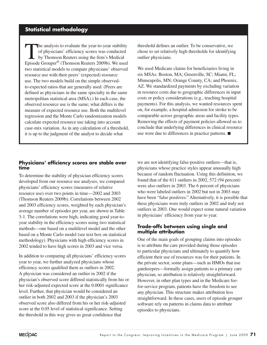## **Statistical methodology**

The analysis to evaluate the year-to-year stability<br>of physicians' efficiency scores was conducted<br>by Thomson Reuters using the firm's Medical of physicians' efficiency scores was conducted by Thomson Reuters using the firm's Medical Episode Grouper® (Thomson Reuters 2009b). We used two statistical models to compare physicians' observed resource use with their peers' (expected) resource use. The two models build on the simple observedto-expected ratios that are generally used. (Peers are defined as physicians in the same specialty in the same metropolitan statistical area (MSA).) In each case, the observed resource use is the same; what differs is the measure of expected resource use. Both the multilevel regression and the Monte Carlo randomization models calculate expected resource use taking into account case-mix variation. As in any calculation of a threshold, it is up to the judgment of the analyst to decide what

#### **Physicians' efficiency scores are stable over time**

To determine the stability of physician efficiency scores developed from our resource use analyses, we compared physicians' efficiency scores (measures of relative resource use) over two points in time—2002 and 2003 (Thomson Reuters 2009b). Correlations between 2002 and 2003 efficiency scores, weighted by each physician's average number of episodes per year, are shown in Table 3-1. The correlations were high, indicating good year-toyear stability in the efficiency scores using two statistical methods—one based on a multilevel model and the other based on a Monte Carlo model (see text box on statistical methodology). Physicians with high efficiency scores in 2002 tended to have high scores in 2003 and vice versa.

In addition to comparing all physicians' efficiency scores year to year, we further analyzed physicians whose efficiency scores qualified them as outliers in 2002. A physician was considered an outlier in 2002 if the physician's observed score differed statistically from his or her risk-adjusted expected score at the 0.0001 significance level. Further, that physician would be considered an outlier in both 2002 and 2003 if the physician's 2003 observed score also differed from his or her risk-adjusted score at the 0.05 level of statistical significance. Setting the threshold in this way gives us great confidence that

threshold defines an outlier. To be conservative, we chose to set relatively high thresholds for identifying outlier physicians.

We used Medicare claims for beneficiaries living in six MSAs: Boston, MA; Greenville, SC; Miami, FL; Minneapolis, MN; Orange County, CA; and Phoenix, AZ. We standardized payments by excluding variation in resource costs due to geographic differences in input costs or policy considerations (e.g., teaching hospital payments). For this analysis, we wanted resources spent on, for example, a hospital admission for stroke to be comparable across geographic areas and facility types. Removing the effects of payment policies allowed us to conclude that underlying differences in clinical resource use were due to differences in practice patterns. ■

we are not identifying false-positive outliers—that is, physicians whose practice styles appear unusually high because of random fluctuation. Using this definition, we found that of the 611 outliers in 2002, 572 (94 percent) were also outliers in 2003. The 6 percent of physicians who were labeled outliers in 2002 but not in 2003 may have been "false positives." Alternatively, it is possible that these physicians were truly outliers in 2002 and truly not outliers in 2003. One would expect some natural variation in physicians' efficiency from year to year.

#### **Trade-offs between using single and multiple attribution**

One of the main goals of grouping claims into episodes is to attribute the care provided during those episodes to particular physicians and ultimately to quantify how efficient their use of resources was for their patients. In the private sector, some plans—such as HMOs that use gatekeepers—formally assign patients to a primary care physician, so attribution is relatively straightforward. However, in other plan types and in the Medicare feefor-service program, patients have the freedom to see any physician. This structure makes attribution less straightforward. In these cases, users of episode grouper software rely on patterns in claims data to attribute episodes to physicians.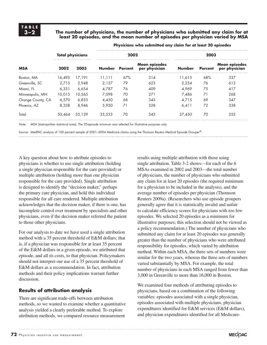#### **3–2 The number of physicians, the number of physicians who submitted any claim for at least 20 episodes, and the mean number of episodes per physician varied by MSA**

| <b>Total physicians</b> |                | 2002   |                                       |               | 2003           |                                |     |     |
|-------------------------|----------------|--------|---------------------------------------|---------------|----------------|--------------------------------|-----|-----|
| MSA<br>2003<br>2002     | Number Percent |        | <b>Mean episodes</b><br>per physician | <b>Number</b> | <b>Percent</b> | Mean episodes<br>per physician |     |     |
| Boston, MA              | 16.495         | 17.191 | 11.111                                | 67%           | 314            | 11.615                         | 68% | 337 |
| Greenville, SC          | 2.715          | 2.948  | 2.137                                 | 79            | 623            | 2.254                          | 76  | 613 |
| Miami. FL               | 6.331          | 6.654  | 4.787                                 | 76            | 409            | 4.969                          | 75  | 417 |
| Minneapolis, MN         | 10.015         | 10.565 | 7.098                                 | 70            | 271            | 7.486                          | 71  | 268 |
| Orange County, CA       | 6,570          | 6.835  | 4.450                                 | 68            | 343            | 4.715                          | 69  | 347 |
| Phoenix, AZ             | 8.338          | 8.946  | 5.950                                 | 71            | 328            | 6.411                          | 72  | 338 |
| Total                   | 50.464         | 53.139 | 35,533                                | 70            | 343            | 37,450                         | 70  | 352 |
|                         |                |        |                                       |               |                |                                |     |     |

**Physicians who submitted any claim for at least 20 episodes** 

Note: MSA (metropolitan statistical area). The 20-episode minimum was selected for illustrative purposes only.

Source: MedPAC analysis of 100 percent sample of 2001–2004 Medicare claims using the Thomson Reuters Medical Episode Grouper®.

A key question about how to attribute episodes to physicians is whether to use single attribution (holding a single physician responsible for the care provided) or multiple attribution (holding more than one physician responsible for the care provided). Single attribution is designed to identify the "decision maker," perhaps the primary care physician, and hold this individual responsible for all care rendered. Multiple attribution acknowledges that the decision maker, if there is one, has incomplete control over treatment by specialists and other physicians, even if the decision maker referred the patient to those other physicians.

For our analysis to date we have used a single attribution method with a 35 percent threshold of E&M dollars; that is, if a physician was responsible for at least 35 percent of the E&M dollars in a given episode, we attributed that episode, and all its costs, to that physician. Policymakers should not interpret our use of a 35 percent threshold of E&M dollars as a recommendation. In fact, attribution methods and their policy implications warrant further discussion.

### **Results of attribution analysis**

There are significant trade-offs between attribution methods, so we wanted to examine whether a quantitative analysis yielded a clearly preferable method. To explore attribution methods, we compared resource measurement

results using multiple attribution with those using single attribution. Table 3-2 shows—for each of the 6 MSAs examined in 2002 and 2003—the total number of physicians, the number of physicians who submitted any claim for at least 20 episodes (the required minimum for a physician to be included in the analysis), and the average number of episodes per physician (Thomson Reuters 2009a). (Researchers who use episode groupers generally agree that it is statistically invalid and unfair to calculate efficiency scores for physicians with too few episodes. We selected 20 episodes as a minimum for illustrative purposes; this selection should not be viewed as a policy recommendation.) The number of physicians who submitted any claim for at least 20 episodes was generally greater than the number of physicians who were attributed responsibility for episodes, which varied by attribution method. Within each MSA, the three sets of numbers were similar for the two years, whereas the three sets of numbers varied substantially by MSA. For example, the total number of physicians in each MSA ranged from fewer than 3,000 in Greenville to more than 16,000 in Boston.

We examined four methods of attributing episodes to physicians, based on a combination of the following variables: episodes associated with a single physician, episodes associated with multiple physicians, physician expenditures identified for E&M services (E&M dollars), and physician expenditures identified for all Medicare-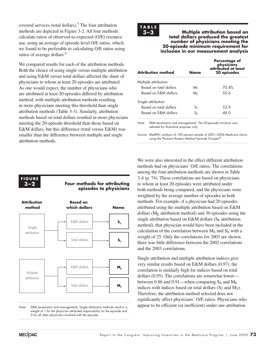covered services (total dollars).<sup>5</sup> The four attribution methods are depicted in Figure 3-2. All four methods calculate ratios of observed-to-expected (O/E) resource use, using an average of episode-level O/E ratios, which we found to be preferable to calculating O/E ratios using ratios of average dollars.<sup>6</sup>

We compared results for each of the attribution methods. Both the choice of using single versus multiple attribution and using E&M versus total dollars affected the share of physicians to whom at least 20 episodes are attributed. As one would expect, the number of physicians who are attributed at least 20 episodes differed by attribution method, with multiple attribution methods resulting in more physicians meeting this threshold than single attribution methods (Table 3-3). Similarly, attribution methods based on total dollars resulted in more physicians meeting the 20-episode threshold than those based on E&M dollars, but this difference (total versus E&M) was smaller than the difference between multiple and single attribution methods.

## **TA B L E**

**3–3 Multiple attribution based on total dollars produced the greatest number of physicians meeting the 20-episode minimum requirement for inclusion in our measurement analysis**

| <b>Attribution method</b> | Name                    | <b>Percentage of</b><br>physicians<br>attributed at least<br>20 episodes |
|---------------------------|-------------------------|--------------------------------------------------------------------------|
| Multiple attribution      |                         |                                                                          |
| Based on total dollars    | Mт                      | 70.4%                                                                    |
| Based on F&M dollars      | M⊧                      | 55.6                                                                     |
| Single attribution        |                         |                                                                          |
| Based on total dollars    | $\mathsf{S}_\mathsf{T}$ | 53.9                                                                     |
| Based on F&M dollars      | S⊧                      | 48.0                                                                     |

Note: E&M (evaluation and management). The 20-episode minimum was selected for illustrative purposes only.

Source: MedPAC analysis of 100 percent sample of 2001–2004 Medicare claims using the Thomson Reuters Medical Episode Grouper®.

We were also interested in the effect different attribution methods had on physicians' O/E ratios. The correlations among the four attribution methods are shown in Table 3-4 (p. 74). These correlations are based on physicians to whom at least 20 episodes were attributed under both methods being compared, and the physicians were weighted by the average number of episodes in both methods. For example, if a physician had 20 episodes attributed using the multiple attribution based on E&M dollars ( $M<sub>E</sub>$  attribution method) and 30 episodes using the single attribution based on E&M dollars ( $S_E$  attribution method), that physician would have been included in the calculation of the correlation between  $M_E$  and  $S_E$  with a weight of 25. Only the correlations for 2003 are shown; there was little difference between the 2002 correlations and the 2003 correlations.

Single attribution and multiple attribution indices give very similar results based on E&M dollars (0.97); the correlation is similarly high for indices based on total dollars (0.95). The correlations are somewhat lower between 0.86 and 0.91—when comparing  $S_E$  and  $M_E$ indices with indices based on total dollars  $(S_T \text{ and } M_T)$ . Therefore, the attribution method selected does not significantly affect physicians' O/E ratios. Physicians who appear to be efficient (or inefficient) under one attribution

#### **3–2 Four methods for attributing episodes to physicians 6-1 Four methods for attributing**



Note: E&M (evaluation and management). Single attribution methods result in a weight of 1 for the physician attributed responsibility for the episode and 0 for all other physicians involved with the episode.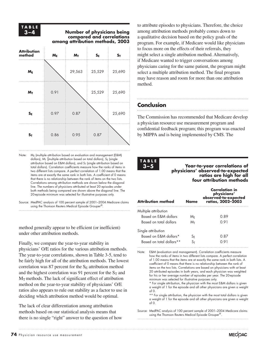## **TA B L E**

#### **3–4 Number of physicians being compared and correlations among attribution methods, 2003**

| <b>Attribution</b><br>method | $M_E$ | $M_T$  | $S_{E}$ | $\mathsf{s}_\mathsf{\scriptscriptstyle{T}}$ |
|------------------------------|-------|--------|---------|---------------------------------------------|
| $M_E$                        |       | 29,563 | 25,529  | 25,690                                      |
| $M_T$                        | 0.91  |        | 25,529  | 25,690                                      |
| $S_{E}$                      | 0.97  | 0.87   |         | 25,690                                      |
| $S_T$                        | 0.86  | 0.95   | 0.87    |                                             |

Note:  $M_E$  (multiple attribution based on evaluation and management (E&M) dollars),  $M_T$  (multiple attribution based on total dollars),  $S_E$  (single attribution based on E&M dollars), and  $S_T$  (single attribution based on total dollars). Correlation coefficients measure how the ranks of items in two different lists compare. A perfect correlation of 1.00 means that the items are at exactly the same rank in both lists. A coefficient of 0 means that there is no relationship between the rank of items on the two lists. Correlations among attribution methods are shown below the diagonal line. The numbers of physicians attributed at least 20 episodes under both methods being compared are shown above the diagonal line. The 20-episode minimum was selected for illustrative purposes only.

Source: MedPAC analysis of 100 percent sample of 2001–2004 Medicare claims using the Thomson Reuters Medical Episode Grouper®.

method generally appear to be efficient (or inefficient) under other attribution methods.

Finally, we compare the year-to-year stability in physicians' O/E ratios for the various attribution methods. The year-to-year correlations, shown in Table 3-5, tend to be fairly high for all of the attribution methods. The lowest correlation was 87 percent for the  $S_E$  attribution method and the highest correlation was 91 percent for the  $S_T$  and  $M_T$  methods. The lack of significant effect of attribution method on the year-to-year stability of physicians' O/E ratios also appears to rule out stability as a factor to use in deciding which attribution method would be optimal.

The lack of clear differentiation among attribution methods based on our statistical analysis means that there is no single "right" answer to the question of how

to attribute episodes to physicians. Therefore, the choice among attribution methods probably comes down to a qualitative decision based on the policy goals of the program. For example, if Medicare would like physicians to focus more on the effects of their referrals, they might select a single attribution method. Alternatively, if Medicare wanted to trigger conversations among physicians caring for the same patient, the program might select a multiple attribution method. The final program may have reason and room for more than one attribution method.

## **Conclusion**

The Commission has recommended that Medicare develop a physician resource use measurement program and confidential feedback program; this program was enacted by MIPPA and is being implemented by CMS. The

# **TA B L E**

#### **3–5 Year-to-year correlations of physicians' observed-to-expected ratios are high for all four attribution methods**

| <b>Attribution method</b> | Name | <b>Correlation in</b><br>physicians'<br>observed-to-expected<br>ratios, 2002-2003 |
|---------------------------|------|-----------------------------------------------------------------------------------|
| Multiple attribution      |      |                                                                                   |
| Based on F&M dollars      | M⊧   | 0.89                                                                              |
| Based on total dollars    | Mт   | 0.91                                                                              |
| Single attribution        |      |                                                                                   |
| Based on E&M dollars*     | S⊧   | 0.87                                                                              |
| Based on total dollars**  |      | በ 91                                                                              |

Note: E&M (evaluation and management). Correlation coefficients measure how the ranks of items in two different lists compare. A perfect correlation of 1.00 means that the items are at exactly the same rank in both lists. A coefficient of 0 means that there is no relationship between the rank of items on the two lists. Correlations are based on physicians with at least 20 attributed episodes in both years, and each physician was weighted for his or her average number of episodes per year. The 20-episode minimum was selected for illustrative purposes only.

\* For single attribution, the physician with the most E&M dollars is given a weight of 1 for the episode and all other physicians are given a weight  $of 0$ 

\*\* For single attribution, the physician with the most total dollars is given a weight of 1 for the episode and all other physicians are given a weight of 0.

Source: MedPAC analysis of 100 percent sample of 2001–2004 Medicare claims using the Thomson Reuters Medical Episode Grouper®.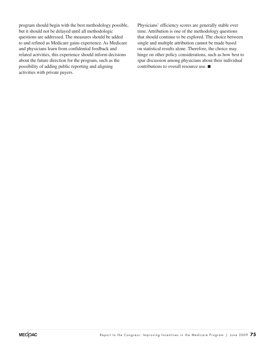program should begin with the best methodology possible, but it should not be delayed until all methodologic questions are addressed. The measures should be added to and refined as Medicare gains experience. As Medicare and physicians learn from confidential feedback and related activities, this experience should inform decisions about the future direction for the program, such as the possibility of adding public reporting and aligning activities with private payers.

Physicians' efficiency scores are generally stable over time. Attribution is one of the methodology questions that should continue to be explored. The choice between single and multiple attribution cannot be made based on statistical results alone. Therefore, the choice may hinge on other policy considerations, such as how best to spur discussion among physicians about their individual contributions to overall resource use. ■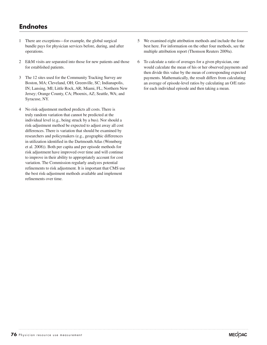## **Endnotes**

- 1 There are exceptions—for example, the global surgical bundle pays for physician services before, during, and after operations.
- 2 E&M visits are separated into those for new patients and those for established patients.
- 3 The 12 sites used for the Community Tracking Survey are Boston, MA; Cleveland, OH; Greenville, SC; Indianapolis, IN; Lansing, MI; Little Rock, AR; Miami, FL; Northern New Jersey; Orange County, CA; Phoenix, AZ; Seattle, WA; and Syracuse, NY.
- 4 No risk-adjustment method predicts all costs. There is truly random variation that cannot be predicted at the individual level (e.g., being struck by a bus). Nor should a risk-adjustment method be expected to adjust away all cost differences. There is variation that should be examined by researchers and policymakers (e.g., geographic differences in utilization identified in the Dartmouth Atlas (Wennberg et al. 2008)). Both per capita and per episode methods for risk adjustment have improved over time and will continue to improve in their ability to appropriately account for cost variation. The Commission regularly analyzes potential refinements to risk adjustment. It is important that CMS use the best risk-adjustment methods available and implement refinements over time.
- 5 We examined eight attribution methods and include the four best here. For information on the other four methods, see the multiple attribution report (Thomson Reuters 2009a).
- 6 To calculate a ratio of averages for a given physician, one would calculate the mean of his or her observed payments and then divide this value by the mean of corresponding expected payments. Mathematically, the result differs from calculating an average of episode-level ratios by calculating an O/E ratio for each individual episode and then taking a mean.